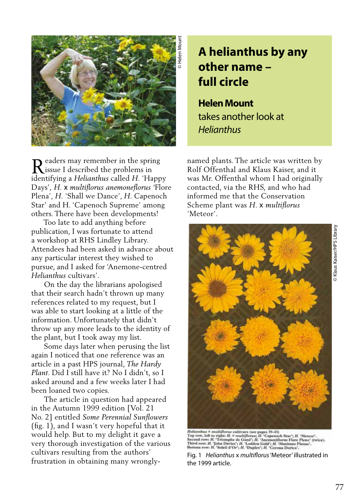

eaders may remember in the spring issue I described the problems in R named plants. The article was written by identifying a *Helianthus* called *H.* 'Happy Days', *H.* x *multiflorus anemoneflorus '*Flore Plena'*, H.* 'Shall we Dance', *H.* Capenoch Star' and H. 'Capenoch Supreme' among others. There have been developments!

 Too late to add anything before publication, I was fortunate to attend a workshop at RHS Lindley Library. Attendees had been asked in advance about any particular interest they wished to pursue, and I asked for 'Anemone-centred *Helianthus* cultivars'.

 On the day the librarians apologised that their search hadn't thrown up many references related to my request, but I was able to start looking at a little of the information. Unfortunately that didn't throw up any more leads to the identity of the plant, but I took away my list.

 Some days later when perusing the list again I noticed that one reference was an article in a past HPS journal, *The Hardy Plant*. Did I still have it? No I didn't, so I asked around and a few weeks later I had been loaned two copies.

 The article in question had appeared in the Autumn 1999 edition [Vol. 21 No. 2] entitled *Some Perennial Sunflowers* (fig. 1), and I wasn't very hopeful that it would help. But to my delight it gave a very thorough investigation of the various cultivars resulting from the authors' frustration in obtaining many wrongly-

## **A helianthus by any other name – full circle**

**Helen Mount**  takes another look at *Helianthus*

Rolf Offenthal and Klaus Kaiser, and it was Mr. Offenthal whom I had originally contacted, via the RHS, and who had informed me that the Conservation Scheme plant was *H.* x *multiflorus*  'Meteor'.



 $\label{thm:main} The limits \times multiforms \textit{cutdivars (see pages 39-43)}\textit{Top} \textit{row}, \textit{left in right } H. \times multiforms H. \textit{Capenoch Star'}; H. \textit{'Metear'}; \textit{Sceond row } H. \textit{'Garach Gau'}; H. \textit{'Metear'}; \textit{Sceond row } H. \textit{'Johneond Goul'}; H. \textit{'Anemomalfoous Floren Phenus' (twice).} \textit{Pointor row } H. \textit{'John Dareic'}; H. \textit{'Ladaon Goul'}; H. \textit{'Carona Derica'}; \textit{f.} \text$ 

Fig. 1 *Helianthus* x *multiflorus* 'Meteor' illustrated in the 1999 article.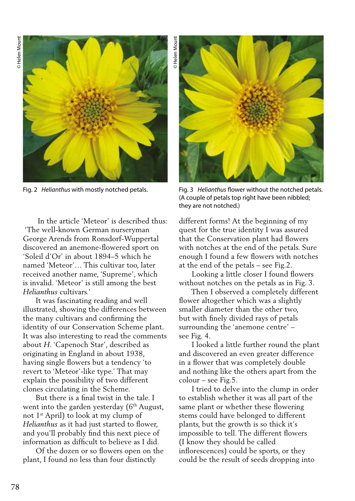© Helen Mount © Helen Mount



 In the article 'Meteor' is described thus: 'The well-known German nurseryman George Arends from Ronsdorf-Wuppertal discovered an anemone-flowered sport on 'Soleil d'Or' in about 1894–5 which he named 'Meteor'… This cultivar too, later received another name, 'Supreme', which is invalid. 'Meteor' is still among the best *Helianthus* cultivars.'

 It was fascinating reading and well illustrated, showing the differences between the many cultivars and confirming the identity of our Conservation Scheme plant. It was also interesting to read the comments about *H*. 'Capenoch Star', described as originating in England in about 1938, having single flowers but a tendency 'to revert to 'Meteor'-like type.' That may explain the possibility of two different clones circulating in the Scheme.

 But there is a final twist in the tale. I went into the garden yesterday  $(6<sup>th</sup>$  August, not  $1<sup>st</sup>$  April) to look at my clump of *Helianthus* as it had just started to flower, and you'll probably find this next piece of information as difficult to believe as I did.

 Of the dozen or so flowers open on the plant, I found no less than four distinctly



Fig. 2 *Helianthus* with mostly notched petals. Fig. 3 *Helianthus* flower without the notched petals. (A couple of petals top right have been nibbled; they are not notched.)

different forms! At the beginning of my quest for the true identity I was assured that the Conservation plant had flowers with notches at the end of the petals. Sure enough I found a few flowers with notches at the end of the petals – see Fig.2.

 Looking a little closer I found flowers without notches on the petals as in Fig. 3.

 Then I observed a completely different flower altogether which was a slightly smaller diameter than the other two, but with finely divided rays of petals surrounding the 'anemone centre' – see Fig. 4.

 I looked a little further round the plant and discovered an even greater difference in a flower that was completely double and nothing like the others apart from the colour – see Fig.5.

 I tried to delve into the clump in order to establish whether it was all part of the same plant or whether these flowering stems could have belonged to different plants, but the growth is so thick it's impossible to tell. The different flowers (I know they should be called inflorescences) could be sports, or they could be the result of seeds dropping into